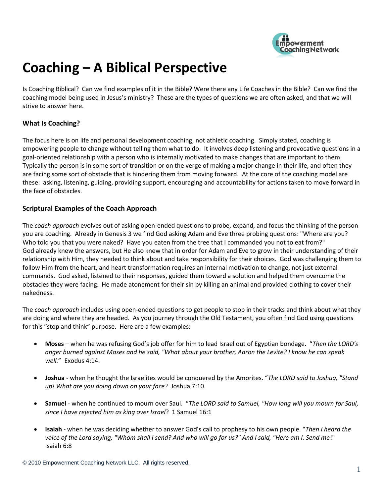

## **Coaching – A Biblical Perspective**

Is Coaching Biblical? Can we find examples of it in the Bible? Were there any Life Coaches in the Bible? Can we find the coaching model being used in Jesus's ministry? These are the types of questions we are often asked, and that we will strive to answer here.

## **What Is Coaching?**

The focus here is on life and personal development coaching, not athletic coaching. Simply stated, coaching is empowering people to change without telling them what to do. It involves deep listening and provocative questions in a goal-oriented relationship with a person who is internally motivated to make changes that are important to them. Typically the person is in some sort of transition or on the verge of making a major change in their life, and often they are facing some sort of obstacle that is hindering them from moving forward. At the core of the coaching model are these: asking, listening, guiding, providing support, encouraging and accountability for actions taken to move forward in the face of obstacles.

## **Scriptural Examples of the Coach Approach**

The *coach approach* evolves out of asking open-ended questions to probe, expand, and focus the thinking of the person you are coaching. Already in Genesis 3 we find God asking Adam and Eve three probing questions: "Where are you? Who told you that you were naked? Have you eaten from the tree that I commanded you not to eat from?" God already knew the answers, but He also knew that in order for Adam and Eve to grow in their understanding of their relationship with Him, they needed to think about and take responsibility for their choices. God was challenging them to follow Him from the heart, and heart transformation requires an internal motivation to change, not just external commands. God asked, listened to their responses, guided them toward a solution and helped them overcome the obstacles they were facing. He made atonement for their sin by killing an animal and provided clothing to cover their nakedness.

The *coach approach* includes using open-ended questions to get people to stop in their tracks and think about what they are doing and where they are headed. As you journey through the Old Testament, you often find God using questions for this "stop and think" purpose. Here are a few examples:

- **Moses** when he was refusing God's job offer for him to lead Israel out of Egyptian bondage. "*Then the LORD's anger burned against Moses and he said, "What about your brother, Aaron the Levite? I know he can speak well.*" Exodus 4:14.
- **Joshua**  when he thought the Israelites would be conquered by the Amorites. "*The LORD said to Joshua, "Stand up! What are you doing down on your face*? Joshua 7:10.
- **Samuel**  when he continued to mourn over Saul. "*The LORD said to Samuel, "How long will you mourn for Saul, since I have rejected him as king over Israel*? 1 Samuel 16:1
- **Isaiah**  when he was deciding whether to answer God's call to prophesy to his own people. "*Then I heard the voice of the Lord saying, "Whom shall I send? And who will go for us?" And I said, "Here am I. Send me*!" Isaiah 6:8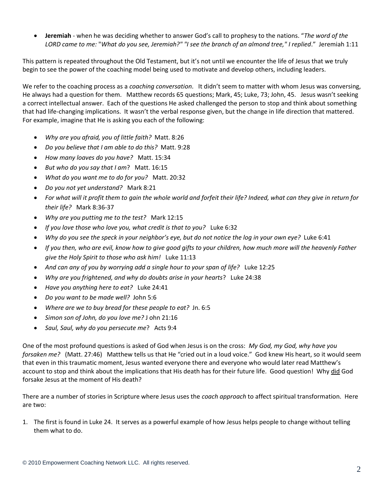**Jeremiah** - when he was deciding whether to answer God's call to prophesy to the nations. "*The word of the LORD came to me:* "*What do you see, Jeremiah?" "I see the branch of an almond tree," I replied*." Jeremiah 1:11

This pattern is repeated throughout the Old Testament, but it's not until we encounter the life of Jesus that we truly begin to see the power of the coaching model being used to motivate and develop others, including leaders.

We refer to the coaching process as a *coaching conversation*. It didn't seem to matter with whom Jesus was conversing, He always had a question for them. Matthew records 65 questions; Mark, 45; Luke, 73; John, 45. Jesus wasn't seeking a correct intellectual answer. Each of the questions He asked challenged the person to stop and think about something that had life-changing implications. It wasn't the verbal response given, but the change in life direction that mattered. For example, imagine that He is asking you each of the following:

- *Why are you afraid, you of little faith?* Matt. 8:26
- *Do you believe that I am able to do this?* Matt. 9:28
- *How many loaves do you have?* Matt. 15:34
- *But who do you say that I am*? Matt. 16:15
- *What do you want me to do for you?* Matt. 20:32
- *Do you not yet understand?* Mark 8:21
- *For what will it profit them to gain the whole world and forfeit their life? Indeed, what can they give in return for their life?* Mark 8:36-37
- *Why are you putting me to the test?* Mark 12:15
- *If you love those who love you, what credit is that to you?* Luke 6:32
- *Why do you see the speck in your neighbor's eye, but do not notice the log in your own eye?* Luke 6:41
- *If you then, who are evil, know how to give good gifts to your children, how much more will the heavenly Father give the Holy Spirit to those who ask him!* Luke 11:13
- *And can any of you by worrying add a single hour to your span of life?* Luke 12:25
- *Why are you frightened, and why do doubts arise in your hearts*? Luke 24:38
- *Have you anything here to eat?* Luke 24:41
- *Do you want to be made well?* John 5:6
- *Where are we to buy bread for these people to eat?* Jn. 6:5
- *Simon son of John, do you love me?* J ohn 21:16
- *Saul, Saul, why do you persecute me*? Acts 9:4

One of the most profound questions is asked of God when Jesus is on the cross: *My God, my God, why have you forsaken me?* (Matt. 27:46) Matthew tells us that He "cried out in a loud voice." God knew His heart, so it would seem that even in this traumatic moment, Jesus wanted everyone there and everyone who would later read Matthew's account to stop and think about the implications that His death has for their future life. Good question! Why did God forsake Jesus at the moment of His death?

There are a number of stories in Scripture where Jesus uses the *coach approach* to affect spiritual transformation. Here are two:

1. The first is found in Luke 24. It serves as a powerful example of how Jesus helps people to change without telling them what to do.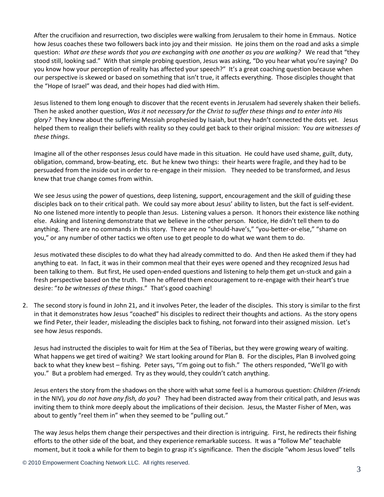After the crucifixion and resurrection, two disciples were walking from Jerusalem to their home in Emmaus. Notice how Jesus coaches these two followers back into joy and their mission. He joins them on the road and asks a simple question: *What are these words that you are exchanging with one another as you are walking?* We read that "they stood still, looking sad." With that simple probing question, Jesus was asking, "Do you hear what you're saying? Do you know how your perception of reality has affected your speech?" It's a great coaching question because when our perspective is skewed or based on something that isn't true, it affects everything. Those disciples thought that the "Hope of Israel" was dead, and their hopes had died with Him.

Jesus listened to them long enough to discover that the recent events in Jerusalem had severely shaken their beliefs. Then he asked another question, *Was it not necessary for the Christ to suffer these things and to enter into His glory?* They knew about the suffering Messiah prophesied by Isaiah, but they hadn't connected the dots yet. Jesus helped them to realign their beliefs with reality so they could get back to their original mission: Y*ou are witnesses of these things*.

Imagine all of the other responses Jesus could have made in this situation. He could have used shame, guilt, duty, obligation, command, brow-beating, etc. But he knew two things: their hearts were fragile, and they had to be persuaded from the inside out in order to re-engage in their mission. They needed to be transformed, and Jesus knew that true change comes from within.

We see Jesus using the power of questions, deep listening, support, encouragement and the skill of guiding these disciples back on to their critical path. We could say more about Jesus' ability to listen, but the fact is self-evident. No one listened more intently to people than Jesus. Listening values a person. It honors their existence like nothing else. Asking and listening demonstrate that we believe in the other person. Notice, He didn't tell them to do anything. There are no commands in this story. There are no "should-have's," "you-better-or-else," "shame on you," or any number of other tactics we often use to get people to do what we want them to do.

Jesus motivated these disciples to do what they had already committed to do. And then He asked them if they had anything to eat. In fact, it was in their common meal that their eyes were opened and they recognized Jesus had been talking to them. But first, He used open-ended questions and listening to help them get un-stuck and gain a fresh perspective based on the truth. Then he offered them encouragement to re-engage with their heart's true desire: "*to be witnesses of these things*." That's good coaching!

2. The second story is found in John 21, and it involves Peter, the leader of the disciples. This story is similar to the first in that it demonstrates how Jesus "coached" his disciples to redirect their thoughts and actions. As the story opens we find Peter, their leader, misleading the disciples back to fishing, not forward into their assigned mission. Let's see how Jesus responds.

Jesus had instructed the disciples to wait for Him at the Sea of Tiberias, but they were growing weary of waiting. What happens we get tired of waiting? We start looking around for Plan B. For the disciples, Plan B involved going back to what they knew best – fishing. Peter says, "I'm going out to fish." The others responded, "We'll go with you." But a problem had emerged. Try as they would, they couldn't catch anything.

Jesus enters the story from the shadows on the shore with what some feel is a humorous question: *Children (Friends*  in the NIV)*, you do not have any fish, do you*? They had been distracted away from their critical path, and Jesus was inviting them to think more deeply about the implications of their decision. Jesus, the Master Fisher of Men, was about to gently "reel them in" when they seemed to be "pulling out."

The way Jesus helps them change their perspectives and their direction is intriguing. First, he redirects their fishing efforts to the other side of the boat, and they experience remarkable success. It was a "follow Me" teachable moment, but it took a while for them to begin to grasp it's significance. Then the disciple "whom Jesus loved" tells